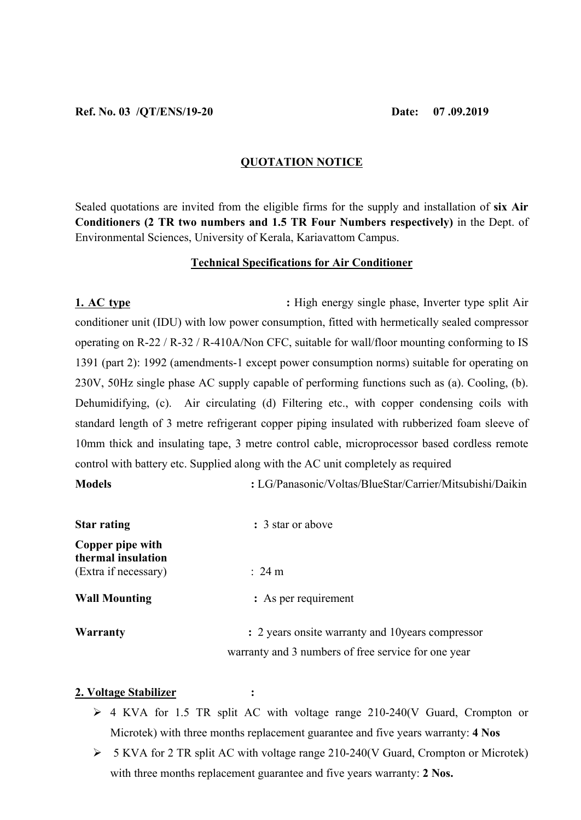# **QUOTATION NOTICE**

Sealed quotations are invited from the eligible firms for the supply and installation of **six Air Conditioners (2 TR two numbers and 1.5 TR Four Numbers respectively)** in the Dept. of Environmental Sciences, University of Kerala, Kariavattom Campus.

## **Technical Specifications for Air Conditioner**

**1. AC type** : High energy single phase, Inverter type split Air conditioner unit (IDU) with low power consumption, fitted with hermetically sealed compressor operating on R-22 / R-32 / R-410A/Non CFC, suitable for wall/floor mounting conforming to IS 1391 (part 2): 1992 (amendments-1 except power consumption norms) suitable for operating on 230V, 50Hz single phase AC supply capable of performing functions such as (a). Cooling, (b). Dehumidifying, (c). Air circulating (d) Filtering etc., with copper condensing coils with standard length of 3 metre refrigerant copper piping insulated with rubberized foam sleeve of 10mm thick and insulating tape, 3 metre control cable, microprocessor based cordless remote control with battery etc. Supplied along with the AC unit completely as required

**Models :** LG/Panasonic/Voltas/BlueStar/Carrier/Mitsubishi/Daikin

| <b>Star rating</b>                     | : 3 star or above                                   |
|----------------------------------------|-----------------------------------------------------|
| Copper pipe with<br>thermal insulation |                                                     |
| (Extra if necessary)                   | $\therefore$ 24 m                                   |
| <b>Wall Mounting</b>                   | : As per requirement                                |
| <b>Warranty</b>                        | : 2 years onsite warranty and 10 years compressor   |
|                                        | warranty and 3 numbers of free service for one year |

### **2. Voltage Stabilizer :**

- $\geq$  4 KVA for 1.5 TR split AC with voltage range 210-240(V Guard, Crompton or Microtek) with three months replacement guarantee and five years warranty: **4 Nos**
- 5 KVA for 2 TR split AC with voltage range 210-240(V Guard, Crompton or Microtek) with three months replacement guarantee and five years warranty: **2 Nos.**